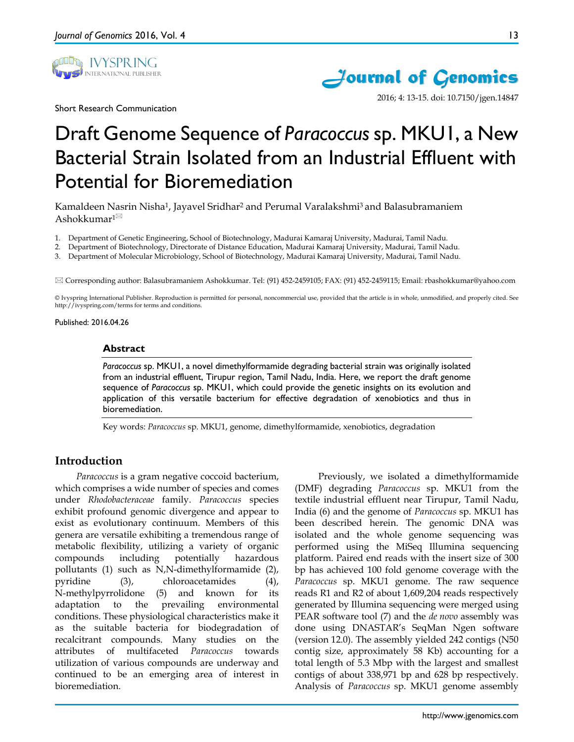

Short Research Communication



2016; 4: 13-15. doi: 10.7150/jgen.14847

# Draft Genome Sequence of *Paracoccus* sp. MKU1, a New Bacterial Strain Isolated from an Industrial Effluent with Potential for Bioremediation

Kamaldeen Nasrin Nisha1, Jayavel Sridhar2 and Perumal Varalakshmi3 and Balasubramaniem Ashokkumar $1^{\boxtimes}$ 

- 1. Department of Genetic Engineering, School of Biotechnology, Madurai Kamaraj University, Madurai, Tamil Nadu.
- 2. Department of Biotechnology, Directorate of Distance Education, Madurai Kamaraj University, Madurai, Tamil Nadu.
- 3. Department of Molecular Microbiology, School of Biotechnology, Madurai Kamaraj University, Madurai, Tamil Nadu.

Corresponding author: Balasubramaniem Ashokkumar. Tel: (91) 452-2459105; FAX: (91) 452-2459115; Email: rbashokkumar@yahoo.com

© Ivyspring International Publisher. Reproduction is permitted for personal, noncommercial use, provided that the article is in whole, unmodified, and properly cited. See http://ivyspring.com/terms for terms and conditions.

#### Published: 2016.04.26

#### **Abstract**

*Paracoccus* sp. MKU1, a novel dimethylformamide degrading bacterial strain was originally isolated from an industrial effluent, Tirupur region, Tamil Nadu, India. Here, we report the draft genome sequence of *Paracoccus* sp. MKU1, which could provide the genetic insights on its evolution and application of this versatile bacterium for effective degradation of xenobiotics and thus in bioremediation.

Key words: *Paracoccus* sp. MKU1, genome, dimethylformamide, xenobiotics, degradation

# **Introduction**

*Paracoccus* is a gram negative coccoid bacterium, which comprises a wide number of species and comes under *Rhodobacteraceae* family. *Paracoccus* species exhibit profound genomic divergence and appear to exist as evolutionary continuum. Members of this genera are versatile exhibiting a tremendous range of metabolic flexibility, utilizing a variety of organic compounds including potentially hazardous pollutants (1) such as N,N-dimethylformamide (2), pyridine (3), chloroacetamides (4), N-methylpyrrolidone (5) and known for its adaptation to the prevailing environmental conditions. These physiological characteristics make it as the suitable bacteria for biodegradation of recalcitrant compounds. Many studies on the attributes of multifaceted *Paracoccus* towards utilization of various compounds are underway and continued to be an emerging area of interest in bioremediation.

Previously, we isolated a dimethylformamide (DMF) degrading *Paracoccus* sp. MKU1 from the textile industrial effluent near Tirupur, Tamil Nadu, India (6) and the genome of *Paracoccus* sp. MKU1 has been described herein. The genomic DNA was isolated and the whole genome sequencing was performed using the MiSeq Illumina sequencing platform. Paired end reads with the insert size of 300 bp has achieved 100 fold genome coverage with the *Paracoccus* sp. MKU1 genome. The raw sequence reads R1 and R2 of about 1,609,204 reads respectively generated by Illumina sequencing were merged using PEAR software tool (7) and the *de novo* assembly was done using DNASTAR's SeqMan Ngen software (version 12.0). The assembly yielded 242 contigs (N50 contig size, approximately 58 Kb) accounting for a total length of 5.3 Mbp with the largest and smallest contigs of about 338,971 bp and 628 bp respectively. Analysis of *Paracoccus* sp. MKU1 genome assembly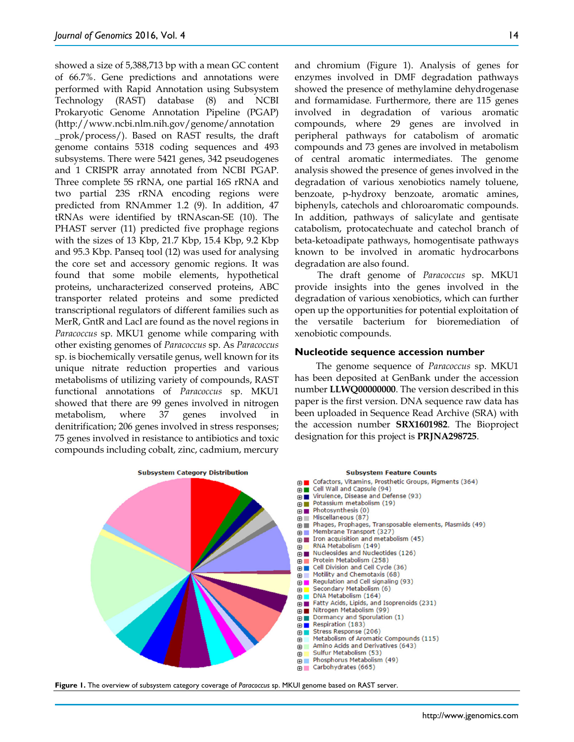showed a size of 5,388,713 bp with a mean GC content of 66.7%. Gene predictions and annotations were performed with Rapid Annotation using Subsystem Technology (RAST) database (8) and NCBI Prokaryotic Genome Annotation Pipeline (PGAP) (http://www.ncbi.nlm.nih.gov/genome/annotation \_prok/process/). Based on RAST results, the draft genome contains 5318 coding sequences and 493 subsystems. There were 5421 genes, 342 pseudogenes and 1 CRISPR array annotated from NCBI PGAP. Three complete 5S rRNA, one partial 16S rRNA and two partial 23S rRNA encoding regions were predicted from RNAmmer 1.2 (9). In addition, 47 tRNAs were identified by tRNAscan-SE (10). The PHAST server (11) predicted five prophage regions with the sizes of 13 Kbp, 21.7 Kbp, 15.4 Kbp, 9.2 Kbp and 95.3 Kbp. Panseq tool (12) was used for analysing the core set and accessory genomic regions. It was found that some mobile elements, hypothetical proteins, uncharacterized conserved proteins, ABC transporter related proteins and some predicted transcriptional regulators of different families such as MerR, GntR and LacI are found as the novel regions in *Paracoccus* sp. MKU1 genome while comparing with other existing genomes of *Paracoccus* sp. As *Paracoccus* sp. is biochemically versatile genus, well known for its unique nitrate reduction properties and various metabolisms of utilizing variety of compounds, RAST functional annotations of *Paracoccus* sp. MKU1 showed that there are 99 genes involved in nitrogen metabolism, where 37 genes involved in denitrification; 206 genes involved in stress responses; 75 genes involved in resistance to antibiotics and toxic compounds including cobalt, zinc, cadmium, mercury and chromium (Figure 1). Analysis of genes for enzymes involved in DMF degradation pathways showed the presence of methylamine dehydrogenase and formamidase. Furthermore, there are 115 genes involved in degradation of various aromatic compounds, where 29 genes are involved in peripheral pathways for catabolism of aromatic compounds and 73 genes are involved in metabolism of central aromatic intermediates. The genome analysis showed the presence of genes involved in the degradation of various xenobiotics namely toluene, benzoate, p-hydroxy benzoate, aromatic amines, biphenyls, catechols and chloroaromatic compounds. In addition, pathways of salicylate and gentisate catabolism, protocatechuate and catechol branch of beta-ketoadipate pathways, homogentisate pathways known to be involved in aromatic hydrocarbons degradation are also found.

The draft genome of *Paracoccus* sp. MKU1 provide insights into the genes involved in the degradation of various xenobiotics, which can further open up the opportunities for potential exploitation of the versatile bacterium for bioremediation of xenobiotic compounds.

#### **Nucleotide sequence accession number**

The genome sequence of *Paracoccus* sp. MKU1 has been deposited at GenBank under the accession number **LLWQ00000000**. The version described in this paper is the first version. DNA sequence raw data has been uploaded in Sequence Read Archive (SRA) with the accession number **SRX1601982**. The Bioproject designation for this project is **PRJNA298725**.



**Figure 1.** The overview of subsystem category coverage of *Paracoccus* sp. MKUI genome based on RAST server.